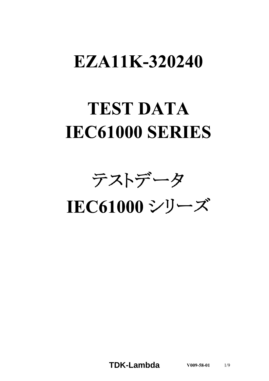# EZA11K-320240

# **TEST DATA IEC61000 SERIES**

テストデータ

IEC61000シリーズ

**TDK-Lambda V009-58-01** 1/9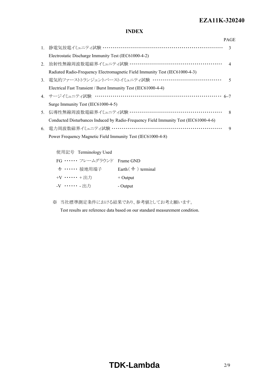#### *RWS 50B-600B Series* **EZA11K-320240**

## **INDEX**

|                |                                                                                      | <b>PAGE</b>                 |
|----------------|--------------------------------------------------------------------------------------|-----------------------------|
| $1_{-}$        | 静電気放電イミュニティ試験 …………………………………………………………                                                 | 3                           |
|                | Electrostatic Discharge Immunity Test (IEC61000-4-2)                                 |                             |
| 2.             | 放射性無線周波数電磁界イミュニティ試験 ………………………………………………                                               | $\boldsymbol{\vartriangle}$ |
|                | Radiated Radio-Frequency Electromagnetic Field Immunity Test (IEC61000-4-3)          |                             |
| 3.             |                                                                                      | 5                           |
|                | Electrical Fast Transient / Burst Immunity Test (IEC61000-4-4)                       |                             |
|                | 4. サージイミュニティ試験 ……………………………………………………………… 6~7                                          |                             |
|                | Surge Immunity Test (IEC61000-4-5)                                                   |                             |
| 5 <sub>1</sub> |                                                                                      |                             |
|                | Conducted Disturbances Induced by Radio-Frequency Field Immunity Test (IEC61000-4-6) |                             |
| 6.             |                                                                                      | 9                           |
|                | Power Frequency Magnetic Field Immunity Test (IEC61000-4-8)                          |                             |
|                |                                                                                      |                             |

| 使用記号 Terminology Used     |                                 |
|---------------------------|---------------------------------|
| FG …… フレームグラウンド Frame GND |                                 |
| → ・・・・・・ 接地用端子            | Earth $($ $\doteq$ $)$ terminal |
| +V …… +出力                 | $+$ Output                      |
| -V ……. 出力                 | - Output                        |

※ 当社標準測定条件における結果であり、参考値としてお考え願います。

Test results are reference data based on our standard measurement condition.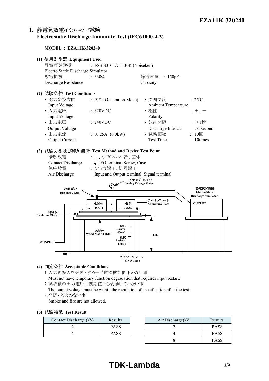# 1. 静電気放電イミュニティ試験 **Electrostatic Discharge Immunity Test (IEC61000-4-2)**

#### **MODEL : EZA11K-320240**



#### **(4) Acceptable Conditions**

- 1.入力再投入を必要とする一時的な機能低下のない事
- Must not have temporary function degradation that requires input restart.
- 2.試験後の出力電圧は初期値から変動していない事
- The output voltage must be within the regulation of specification after the test. 3 発煙·発火のない事

Smoke and fire are not allowed.

#### **(5) Test Result**

| Contact Discharge (kV) | Results | Air Discharge(kV) |
|------------------------|---------|-------------------|
|                        | PASS    |                   |
|                        | PASS    |                   |

| Results     | Air Discharge(kV) | Results     |
|-------------|-------------------|-------------|
| <b>PASS</b> |                   | <b>PASS</b> |
| <b>PASS</b> |                   | <b>PASS</b> |
|             |                   | <b>PASS</b> |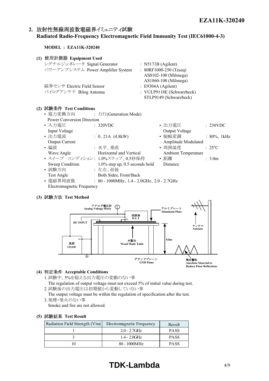$: 25^{\circ}C$ 

## 2. 放射性無線周波数電磁界イミュニティ試験 **Radiated Radio-Frequency Electromagnetic Field Immunity Test (IEC61000-4-3)**

#### **MODEL : EZA11K-320240**

| (1) 使用計測器 Equipment Used          |                               |  |
|-----------------------------------|-------------------------------|--|
| シグナルジェネレータ Signal Generator       | : $N5171B$ (Agilent)          |  |
| パワーアンプシステム Power Amplifier System | : $80RF1000-250$ (Teseq)      |  |
|                                   | AS0102-100 (Milmega)          |  |
|                                   | AS1860-100 (Milmega)          |  |
| 磁界センサ Electric Field Sensor       | $\therefore$ E9304A (Agilent) |  |
| バイログアンテナ Bilog Antenna            | : VULP9118E (Schwarzbeck)     |  |
|                                   | STLP9149 (Schwarzbeck)        |  |
|                                   |                               |  |

#### **(2) Test Conditions**

- 電力変換方向 : 力行(Generation Mode) Power Conversion Direction
- 入力電圧 : 320VDC 出力電圧 : 230VDC Input Voltage Output Voltage • 出力電流 : 0、21A (4.8kW) • 振幅変調 : 80%、1kHz Output Current **Amplitude Modulated** • 偏波 : 水平、垂直 • 周囲温度
- Wave Angle **Horizontal and Vertical** Ambient Temperature • スイープ · コンディション: 1.0%ステップ、0.5秒保持 • 距離 : 3.0m Sweep Condition 1.0% step up, 0.5 seconds hold Distance
- 試験方向 : 左右、前後
	- Test Angle Both Sides, Front/Back
- 電磁界周波数 : 80 1000MHz、1.4 2.0GHz、2.0 2.7GHz Electromagnetic Frequency

#### **(3) Test Method**



#### **(4) Acceptable Conditions**

- 1.試験中、5%を超える出力電圧の変動のない事
	- The regulation of output voltage must not exceed 5% of initial value during test.
- 2.試験後の出力電圧は初期値から変動していない事 The output voltage must be within the regulation of specification after the test.
- 3.発煙・発火のない事
	- Smoke and fire are not allowed.

#### **(5) Test Result**

| Radiation Field Strength (V/m) | Electromagnetic Frequency | Result      |
|--------------------------------|---------------------------|-------------|
|                                | $2.0 - 2.7$ GHz           | <b>PASS</b> |
|                                | $1.4 - 2.0$ GHz           | <b>PASS</b> |
|                                | 80 - 1000MHz              | <b>PASS</b> |

# **TDK-Lambda** 4/9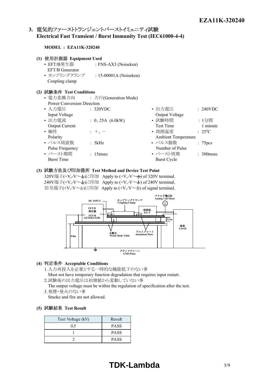## 3. 電気的ファーストトランジェントバーストイミュニティ試験 **Electrical Fast Transient / Burst Immunity Test (IEC61000-4-4)**

#### **MODEL : EZA11K-320240**

| (1) 使用計測器 Equipment Used          |                                |                  |          |
|-----------------------------------|--------------------------------|------------------|----------|
| • EFT/B発生器                        | : FNS-AX3 (Noiseken)           |                  |          |
| EFT/B Generator                   |                                |                  |          |
| • カップリングクランプ                      | : 15-00001A (Noiseken)         |                  |          |
| Coupling clamp                    |                                |                  |          |
| (2) 試験条件 Test Conditions          |                                |                  |          |
|                                   | • 電力変換方向 : 力行(Generation Mode) |                  |          |
| <b>Power Conversion Direction</b> |                                |                  |          |
| • 入力雷圧                            | $\div$ 320VDC                  | ・出力電圧            | : 240VDC |
| Input Voltage                     |                                | Output Voltage   |          |
| • 出力電流                            | : 0, 25A (6.0kW)               | • 試験時間           | :1分間     |
| <b>Output Current</b>             |                                | <b>Test Time</b> | 1 minute |

- •極性 : +、- • 周囲温度 Polarity Ambient Temperature • パルス周波数 : 5kHz • パルス個数 : 75pcs Pulse Frequency Number of Pulse • バースト期間 : 15msec • バースト周期 : 300msec
- $\mathbb{E} \quad \text{I} \quad \text{240VDC}$ Voltage  $\div$  25<sup>o</sup>C Burst Time Burst Cycle

#### **(3) Test Method and Device Test Point**

320V端子(+V,-V~<del>-</del>)に印加 Apply to (+V,-V~+) of 320V terminal. 240V端子(+V,-V~ $\leftarrow$ )に印加 Apply to (+V,-V~ $\leftarrow$ ) of 240V terminal. 信号端子(+V,-V ~ )に印加 Apply to (+V,-V ~  $\rightarrow$ ) of signal terminal.



#### **(4) Acceptable Conditions**

- 1.入力再投入を必要とする一時的な機能低下のない事 Must not have temporary function degradation that requires input restart.
- 2.試験後の出力電圧は初期値から変動していない事
- The output voltage must be within the regulation of specification after the test. 3.発煙・発火のない事

Smoke and fire are not allowed.

#### **(5) Test Result**

| Test Voltage (kV) | Result      |
|-------------------|-------------|
| 0.5               | <b>PASS</b> |
|                   | <b>PASS</b> |
|                   | <b>PASS</b> |

# **TDK-Lambda** 5/9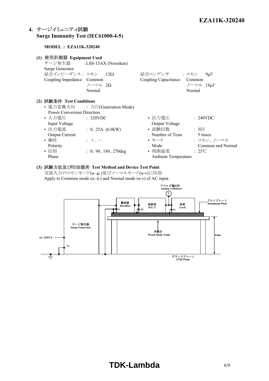# **4. Surge Immunity Test (IEC61000-4-5)**

#### **MODEL : EZA11K-320240**

| (1) 使用計測器 Equipment Used<br>Surge Generator<br>結合インピーダンス: コモン 12Ω<br>Coupling Impedance Common                                                                   | サージ発生器 : LSS-15AX (Noiseken)<br>ノーマル 2Ω<br>Normal                                                                         | 結合コンデンサ : コモン<br>Coupling Capacitance Common                                                            | $9\mu F$<br>ノーマル 18µF<br>Normal                                                    |
|------------------------------------------------------------------------------------------------------------------------------------------------------------------|---------------------------------------------------------------------------------------------------------------------------|---------------------------------------------------------------------------------------------------------|------------------------------------------------------------------------------------|
| (2) 試験条件 Test Conditions<br><b>Power Conversion Direction</b><br>• 入力電圧<br>Input Voltage<br>• 出力電流<br><b>Output Current</b><br>• 極性<br>Polarity<br>• 位相<br>Phase | • 電力変換方向 : 力行(Generation Mode)<br>$\therefore$ 320VDC<br>: 0, 25A (6.0kW)<br>$+$ , $-$<br>$\therefore$ 0, 90, 180, 270deg | • 出力雷圧<br>Output Voltage<br>• 試験回数<br>Number of Tests<br>• モード<br>Mode<br>• 周囲温度<br>Ambient Temperature | $\div$ 240VDC<br>: 5回<br>5 times<br>: コモン、ノーマル<br>Common and Normal<br>$\div$ 25°C |

**(3) Test Method and Device Test Point** 交流入力のコモンモード(u-  $\pm$ )及びノーマルモード(u-v)に印加 Apply to Common mode  $(u-$  and Normal mode  $(u-v)$  of AC input.

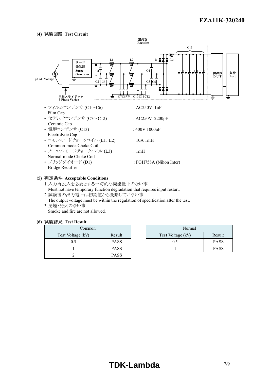#### **(4) Test Circuit**



#### **(5) Acceptable Conditions**

1.入力再投入を必要とする一時的な機能低下のない事 Must not have temporary function degradation that requires input restart. 2.試験後の出力電圧は初期値から変動していない事

The output voltage must be within the regulation of specification after the test. 3.発煙・発火のない事

Smoke and fire are not allowed.

## **(6) Test Result**

| Common            |             | Nori              |
|-------------------|-------------|-------------------|
| Test Voltage (kV) | Result      | Test Voltage (kV) |
| 0.5               | <b>PASS</b> |                   |
|                   | <b>PASS</b> |                   |
|                   | <b>PASS</b> |                   |

| Common |             | Normal                      |             |
|--------|-------------|-----------------------------|-------------|
| e (kV) | Result      | Test Voltage (kV)<br>Result |             |
|        | <b>PASS</b> | 0.5                         | <b>PASS</b> |
|        | <b>PASS</b> |                             | <b>PASS</b> |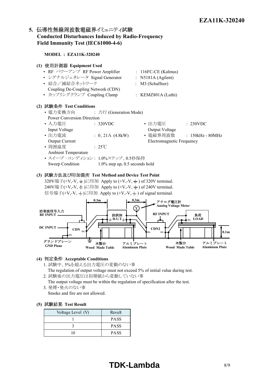# 5. 伝導性無線周波数電磁界イミュニティ試験 **Conducted Disturbances Induced by Radio-Frequency Field Immunity Test (IEC61000-4-6)**

**MODEL : EZA11K-320240**

# **(1) Equipment Used** • RF パワーアンプ RF Power Amplifier : 116FC-CE (Kalmus) • シグナルジェネレータ Signal Generator : N5181A (Agilent) • 結合/減結合ネットワーク : M3 (Schaffner) Coupling De-Coupling Network (CDN) • カップリングクランプ Coupling Clamp : KEMZ801A (Luthi) **(2) Test Conditions** • 電力変換方向 : 力行 (Generation Mode) Power Conversion Direction • 入力雷圧 : 320VDC • 出力雷圧 : 230VDC Input Voltage **Output Voltage** Output Voltage • 出力電流 : 0、21A (4.8kW) • 電磁界周波数 : 150kHz - 80MHz Output Current Electromagnetic Frequency • 周囲温度 : 25℃ Ambient Temperature • スイープ · コンディション: 1.0%ステップ、0.5秒保持 Sweep Condition 1.0% step up, 0.5 seconds hold

#### **(3) Test Method and Device Test Point**

320V端子(+V,-V,  $\div$ )に印加 Apply to (+V,-V,  $\div$ ) of 320V terminal. 240V端子(+V,-V,  $\div$ )に印加 Apply to (+V,-V,  $\div$ ) of 240V terminal. 信号端子(+V,-V,  $\pm$ )に印加 Apply to (+V,-V,  $\pm$ ) of signal terminal.



- **(4) Acceptable Conditions**
	- 1. 試験中、5%を超える出力電圧の変動のない事
	- The regulation of output voltage must not exceed 5% of initial value during test.
	- 2. 試験後の出力電圧は初期値から変動していない事
	- The output voltage must be within the regulation of specification after the test. 3. 発煙・発火のない事
		- Smoke and fire are not allowed.

#### **(5) Test Result**

| Voltage Level (V) | Result      |
|-------------------|-------------|
|                   | <b>PASS</b> |
|                   | <b>PASS</b> |
|                   | <b>PASS</b> |